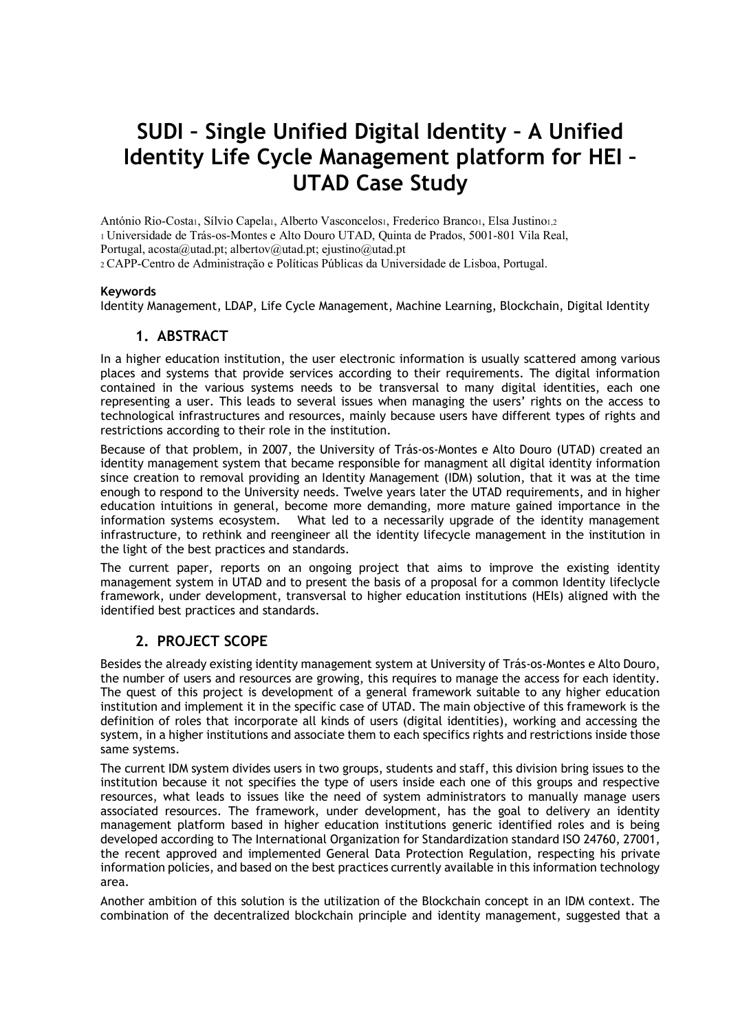# **SUDI – Single Unified Digital Identity – A Unified Identity Life Cycle Management platform for HEI – UTAD Case Study**

António Rio-Costa1, Sílvio Capela1, Alberto Vasconcelos1, Frederico Branco1, Elsa Justino1,2 1 Universidade de Trás-os-Montes e Alto Douro UTAD, Quinta de Prados, 5001-801 Vila Real, Portugal, acosta@utad.pt; albertov@utad.pt; ejustino@utad.pt 2 CAPP-Centro de Administração e Políticas Públicas da Universidade de Lisboa, Portugal.

#### **Keywords**

Identity Management, LDAP, Life Cycle Management, Machine Learning, Blockchain, Digital Identity

#### **1. ABSTRACT**

In a higher education institution, the user electronic information is usually scattered among various places and systems that provide services according to their requirements. The digital information contained in the various systems needs to be transversal to many digital identities, each one representing a user. This leads to several issues when managing the users' rights on the access to technological infrastructures and resources, mainly because users have different types of rights and restrictions according to their role in the institution.

Because of that problem, in 2007, the University of Trás-os-Montes e Alto Douro (UTAD) created an identity management system that became responsible for managment all digital identity information since creation to removal providing an Identity Management (IDM) solution, that it was at the time enough to respond to the University needs. Twelve years later the UTAD requirements, and in higher education intuitions in general, become more demanding, more mature gained importance in the information systems ecosystem. What led to a necessarily upgrade of the identity management infrastructure, to rethink and reengineer all the identity lifecycle management in the institution in the light of the best practices and standards.

The current paper, reports on an ongoing project that aims to improve the existing identity management system in UTAD and to present the basis of a proposal for a common Identity lifeclycle framework, under development, transversal to higher education institutions (HEIs) aligned with the identified best practices and standards.

#### **2. PROJECT SCOPE**

Besides the already existing identity management system at University of Trás-os-Montes e Alto Douro, the number of users and resources are growing, this requires to manage the access for each identity. The quest of this project is development of a general framework suitable to any higher education institution and implement it in the specific case of UTAD. The main objective of this framework is the definition of roles that incorporate all kinds of users (digital identities), working and accessing the system, in a higher institutions and associate them to each specifics rights and restrictions inside those same systems.

The current IDM system divides users in two groups, students and staff, this division bring issues to the institution because it not specifies the type of users inside each one of this groups and respective resources, what leads to issues like the need of system administrators to manually manage users associated resources. The framework, under development, has the goal to delivery an identity management platform based in higher education institutions generic identified roles and is being developed according to The International Organization for Standardization standard ISO 24760, 27001, the recent approved and implemented General Data Protection Regulation, respecting his private information policies, and based on the best practices currently available in this information technology area.

Another ambition of this solution is the utilization of the Blockchain concept in an IDM context. The combination of the decentralized blockchain principle and identity management, suggested that a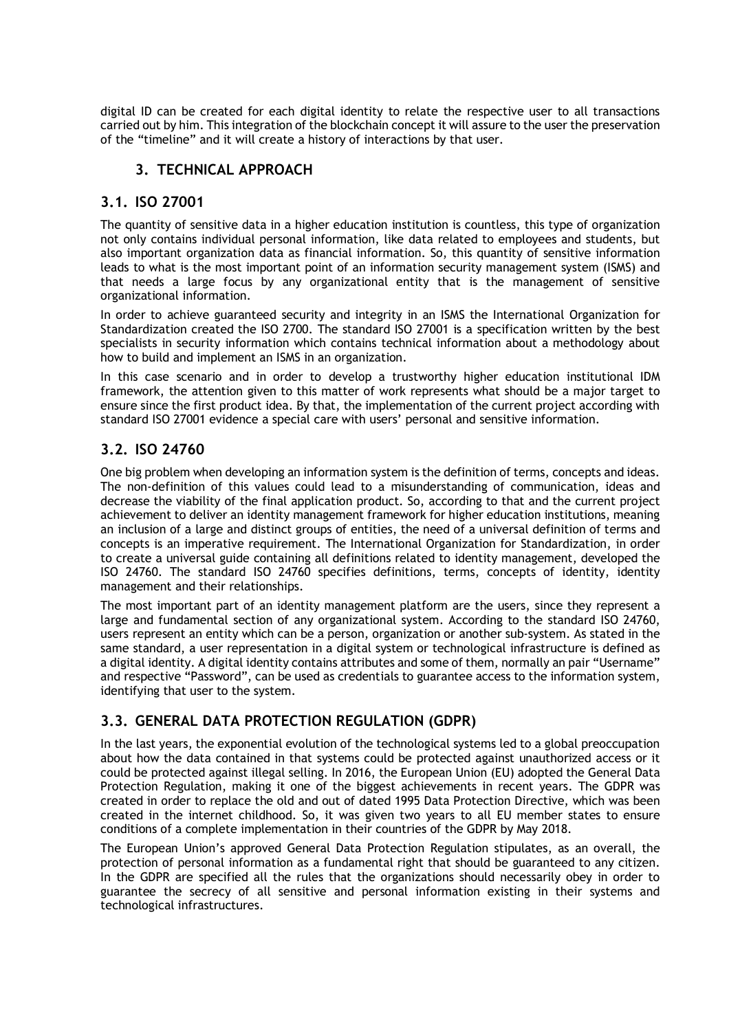digital ID can be created for each digital identity to relate the respective user to all transactions carried out by him. This integration of the blockchain concept it will assure to the user the preservation of the "timeline" and it will create a history of interactions by that user.

## **3. TECHNICAL APPROACH**

#### **3.1. ISO 27001**

The quantity of sensitive data in a higher education institution is countless, this type of organization not only contains individual personal information, like data related to employees and students, but also important organization data as financial information. So, this quantity of sensitive information leads to what is the most important point of an information security management system (ISMS) and that needs a large focus by any organizational entity that is the management of sensitive organizational information.

In order to achieve guaranteed security and integrity in an ISMS the International Organization for Standardization created the ISO 2700. The standard ISO 27001 is a specification written by the best specialists in security information which contains technical information about a methodology about how to build and implement an ISMS in an organization.

In this case scenario and in order to develop a trustworthy higher education institutional IDM framework, the attention given to this matter of work represents what should be a major target to ensure since the first product idea. By that, the implementation of the current project according with standard ISO 27001 evidence a special care with users' personal and sensitive information.

## **3.2. ISO 24760**

One big problem when developing an information system is the definition of terms, concepts and ideas. The non-definition of this values could lead to a misunderstanding of communication, ideas and decrease the viability of the final application product. So, according to that and the current project achievement to deliver an identity management framework for higher education institutions, meaning an inclusion of a large and distinct groups of entities, the need of a universal definition of terms and concepts is an imperative requirement. The International Organization for Standardization, in order to create a universal guide containing all definitions related to identity management, developed the ISO 24760. The standard ISO 24760 specifies definitions, terms, concepts of identity, identity management and their relationships.

The most important part of an identity management platform are the users, since they represent a large and fundamental section of any organizational system. According to the standard ISO 24760, users represent an entity which can be a person, organization or another sub-system. As stated in the same standard, a user representation in a digital system or technological infrastructure is defined as a digital identity. A digital identity contains attributes and some of them, normally an pair "Username" and respective "Password", can be used as credentials to guarantee access to the information system, identifying that user to the system.

# **3.3. GENERAL DATA PROTECTION REGULATION (GDPR)**

In the last years, the exponential evolution of the technological systems led to a global preoccupation about how the data contained in that systems could be protected against unauthorized access or it could be protected against illegal selling. In 2016, the European Union (EU) adopted the General Data Protection Regulation, making it one of the biggest achievements in recent years. The GDPR was created in order to replace the old and out of dated 1995 Data Protection Directive, which was been created in the internet childhood. So, it was given two years to all EU member states to ensure conditions of a complete implementation in their countries of the GDPR by May 2018.

The European Union's approved General Data Protection Regulation stipulates, as an overall, the protection of personal information as a fundamental right that should be guaranteed to any citizen. In the GDPR are specified all the rules that the organizations should necessarily obey in order to guarantee the secrecy of all sensitive and personal information existing in their systems and technological infrastructures.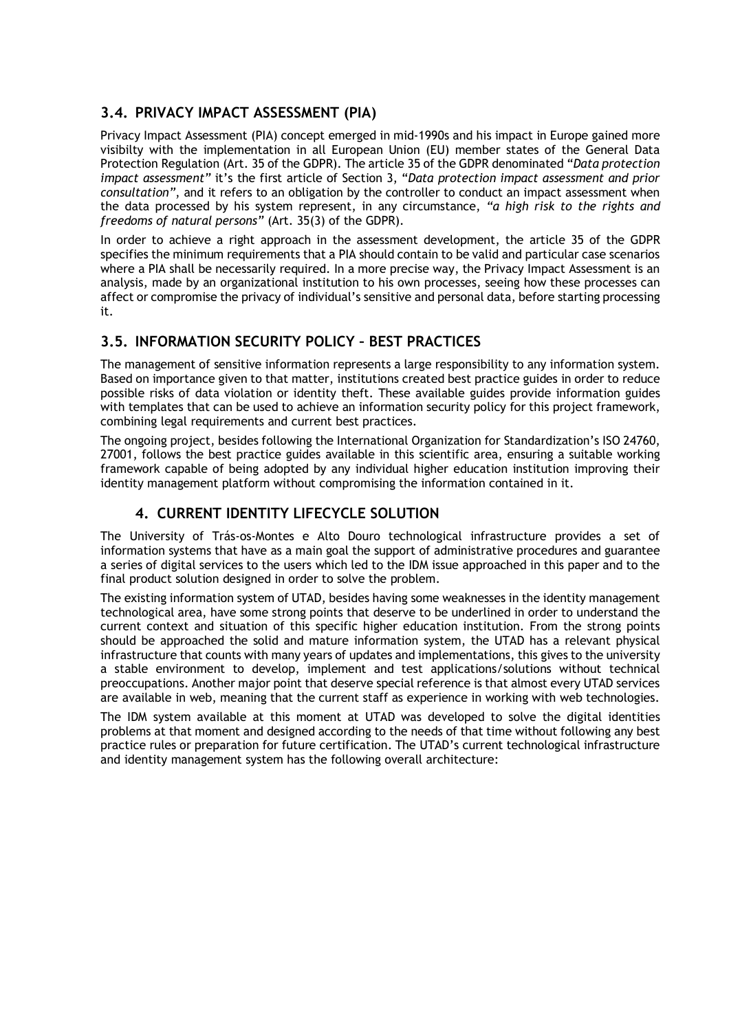# **3.4. PRIVACY IMPACT ASSESSMENT (PIA)**

Privacy Impact Assessment (PIA) concept emerged in mid-1990s and his impact in Europe gained more visibilty with the implementation in all European Union (EU) member states of the General Data Protection Regulation (Art. 35 of the GDPR). The article 35 of the GDPR denominated "*Data protection impact assessment"* it's the first article of Section 3, "*Data protection impact assessment and prior consultation"*, and it refers to an obligation by the controller to conduct an impact assessment when the data processed by his system represent, in any circumstance, *"a high risk to the rights and freedoms of natural persons"* (Art. 35(3) of the GDPR).

In order to achieve a right approach in the assessment development, the article 35 of the GDPR specifies the minimum requirements that a PIA should contain to be valid and particular case scenarios where a PIA shall be necessarily required. In a more precise way, the Privacy Impact Assessment is an analysis, made by an organizational institution to his own processes, seeing how these processes can affect or compromise the privacy of individual's sensitive and personal data, before starting processing it.

# **3.5. INFORMATION SECURITY POLICY – BEST PRACTICES**

The management of sensitive information represents a large responsibility to any information system. Based on importance given to that matter, institutions created best practice guides in order to reduce possible risks of data violation or identity theft. These available guides provide information guides with templates that can be used to achieve an information security policy for this project framework, combining legal requirements and current best practices.

The ongoing project, besides following the International Organization for Standardization's ISO 24760, 27001, follows the best practice guides available in this scientific area, ensuring a suitable working framework capable of being adopted by any individual higher education institution improving their identity management platform without compromising the information contained in it.

# **4. CURRENT IDENTITY LIFECYCLE SOLUTION**

The University of Trás-os-Montes e Alto Douro technological infrastructure provides a set of information systems that have as a main goal the support of administrative procedures and guarantee a series of digital services to the users which led to the IDM issue approached in this paper and to the final product solution designed in order to solve the problem.

The existing information system of UTAD, besides having some weaknesses in the identity management technological area, have some strong points that deserve to be underlined in order to understand the current context and situation of this specific higher education institution. From the strong points should be approached the solid and mature information system, the UTAD has a relevant physical infrastructure that counts with many years of updates and implementations, this gives to the university a stable environment to develop, implement and test applications/solutions without technical preoccupations. Another major point that deserve special reference is that almost every UTAD services are available in web, meaning that the current staff as experience in working with web technologies.

The IDM system available at this moment at UTAD was developed to solve the digital identities problems at that moment and designed according to the needs of that time without following any best practice rules or preparation for future certification. The UTAD's current technological infrastructure and identity management system has the following overall architecture: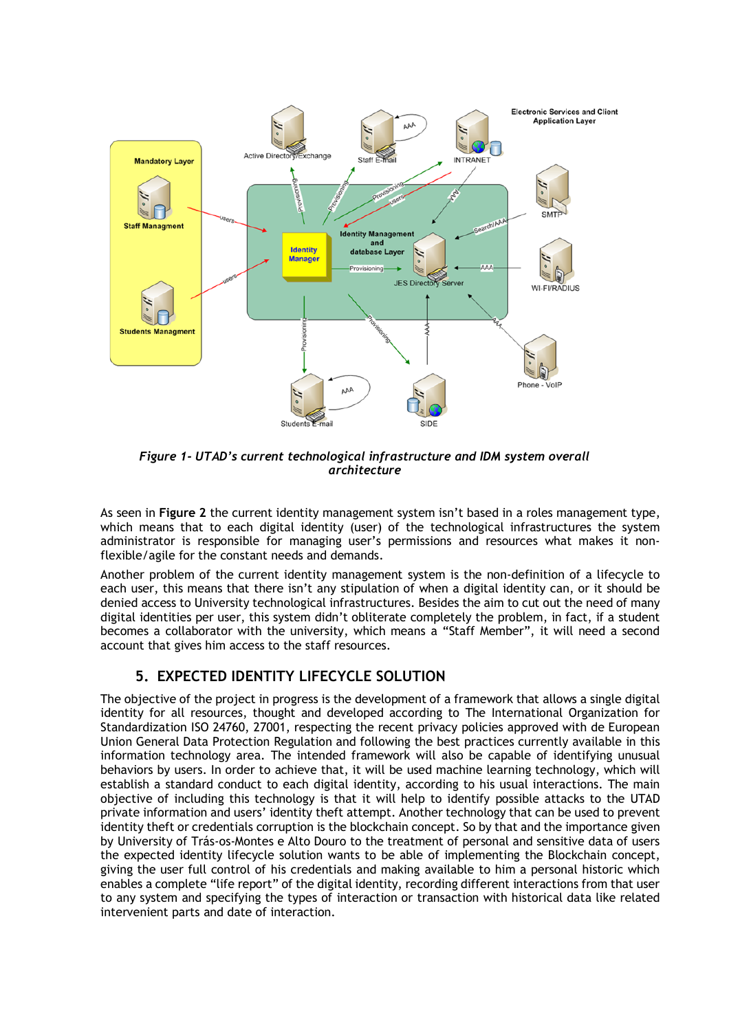

*Figure 1- UTAD's current technological infrastructure and IDM system overall architecture*

As seen in **Figure 2** the current identity management system isn't based in a roles management type, which means that to each digital identity (user) of the technological infrastructures the system administrator is responsible for managing user's permissions and resources what makes it nonflexible/agile for the constant needs and demands.

Another problem of the current identity management system is the non-definition of a lifecycle to each user, this means that there isn't any stipulation of when a digital identity can, or it should be denied access to University technological infrastructures. Besides the aim to cut out the need of many digital identities per user, this system didn't obliterate completely the problem, in fact, if a student becomes a collaborator with the university, which means a "Staff Member", it will need a second account that gives him access to the staff resources.

## **5. EXPECTED IDENTITY LIFECYCLE SOLUTION**

The objective of the project in progress is the development of a framework that allows a single digital identity for all resources, thought and developed according to The International Organization for Standardization ISO 24760, 27001, respecting the recent privacy policies approved with de European Union General Data Protection Regulation and following the best practices currently available in this information technology area. The intended framework will also be capable of identifying unusual behaviors by users. In order to achieve that, it will be used machine learning technology, which will establish a standard conduct to each digital identity, according to his usual interactions. The main objective of including this technology is that it will help to identify possible attacks to the UTAD private information and users' identity theft attempt. Another technology that can be used to prevent identity theft or credentials corruption is the blockchain concept. So by that and the importance given by University of Trás-os-Montes e Alto Douro to the treatment of personal and sensitive data of users the expected identity lifecycle solution wants to be able of implementing the Blockchain concept, giving the user full control of his credentials and making available to him a personal historic which enables a complete "life report" of the digital identity, recording different interactions from that user to any system and specifying the types of interaction or transaction with historical data like related intervenient parts and date of interaction.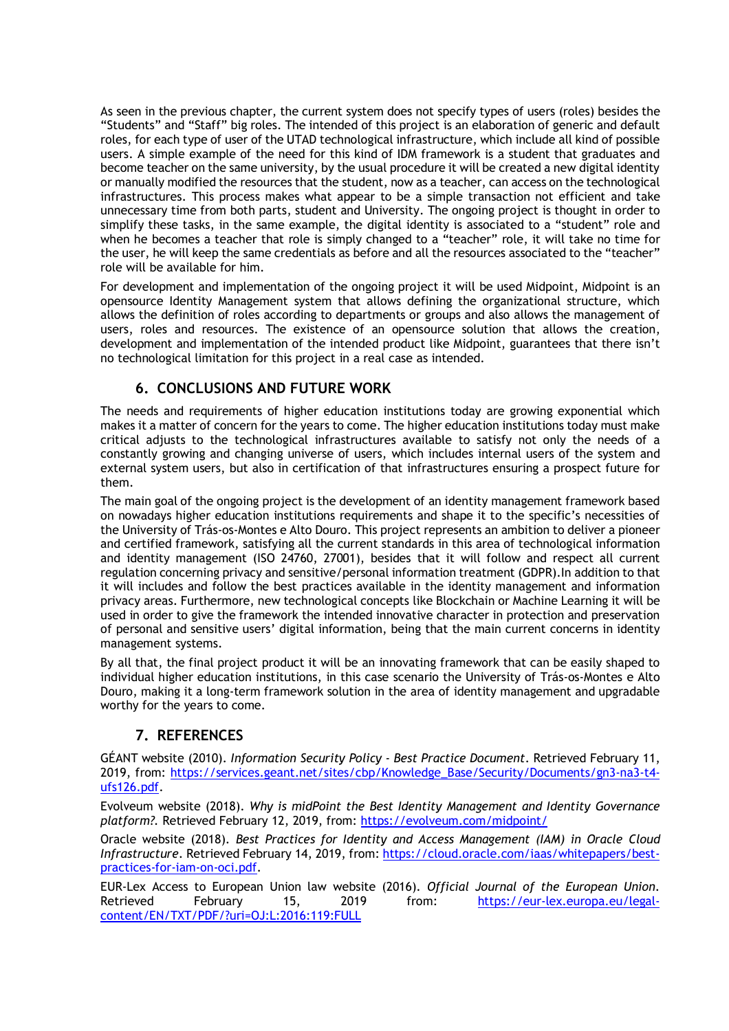As seen in the previous chapter, the current system does not specify types of users (roles) besides the "Students" and "Staff" big roles. The intended of this project is an elaboration of generic and default roles, for each type of user of the UTAD technological infrastructure, which include all kind of possible users. A simple example of the need for this kind of IDM framework is a student that graduates and become teacher on the same university, by the usual procedure it will be created a new digital identity or manually modified the resources that the student, now as a teacher, can access on the technological infrastructures. This process makes what appear to be a simple transaction not efficient and take unnecessary time from both parts, student and University. The ongoing project is thought in order to simplify these tasks, in the same example, the digital identity is associated to a "student" role and when he becomes a teacher that role is simply changed to a "teacher" role, it will take no time for the user, he will keep the same credentials as before and all the resources associated to the "teacher" role will be available for him.

For development and implementation of the ongoing project it will be used Midpoint, Midpoint is an opensource Identity Management system that allows defining the organizational structure, which allows the definition of roles according to departments or groups and also allows the management of users, roles and resources. The existence of an opensource solution that allows the creation, development and implementation of the intended product like Midpoint, guarantees that there isn't no technological limitation for this project in a real case as intended.

## **6. CONCLUSIONS AND FUTURE WORK**

The needs and requirements of higher education institutions today are growing exponential which makes it a matter of concern for the years to come. The higher education institutions today must make critical adjusts to the technological infrastructures available to satisfy not only the needs of a constantly growing and changing universe of users, which includes internal users of the system and external system users, but also in certification of that infrastructures ensuring a prospect future for them.

The main goal of the ongoing project is the development of an identity management framework based on nowadays higher education institutions requirements and shape it to the specific's necessities of the University of Trás-os-Montes e Alto Douro. This project represents an ambition to deliver a pioneer and certified framework, satisfying all the current standards in this area of technological information and identity management (ISO 24760, 27001), besides that it will follow and respect all current regulation concerning privacy and sensitive/personal information treatment (GDPR).In addition to that it will includes and follow the best practices available in the identity management and information privacy areas. Furthermore, new technological concepts like Blockchain or Machine Learning it will be used in order to give the framework the intended innovative character in protection and preservation of personal and sensitive users' digital information, being that the main current concerns in identity management systems.

By all that, the final project product it will be an innovating framework that can be easily shaped to individual higher education institutions, in this case scenario the University of Trás-os-Montes e Alto Douro, making it a long-term framework solution in the area of identity management and upgradable worthy for the years to come.

## **7. REFERENCES**

GÉANT website (2010). *Information Security Policy - Best Practice Document*. Retrieved February 11, 2019, from: https://services.geant.net/sites/cbp/Knowledge\_Base/Security/Documents/gn3-na3-t4ufs126.pdf.

Evolveum website (2018). *Why is midPoint the Best Identity Management and Identity Governance platform?.* Retrieved February 12, 2019, from: https://evolveum.com/midpoint/

Oracle website (2018). *Best Practices for Identity and Access Management (IAM) in Oracle Cloud Infrastructure*. Retrieved February 14, 2019, from: https://cloud.oracle.com/iaas/whitepapers/bestpractices-for-iam-on-oci.pdf.

EUR-Lex Access to European Union law website (2016). *Official Journal of the European Union.*  Retrieved February 15, 2019 from: https://eur-lex.europa.eu/legalcontent/EN/TXT/PDF/?uri=OJ:L:2016:119:FULL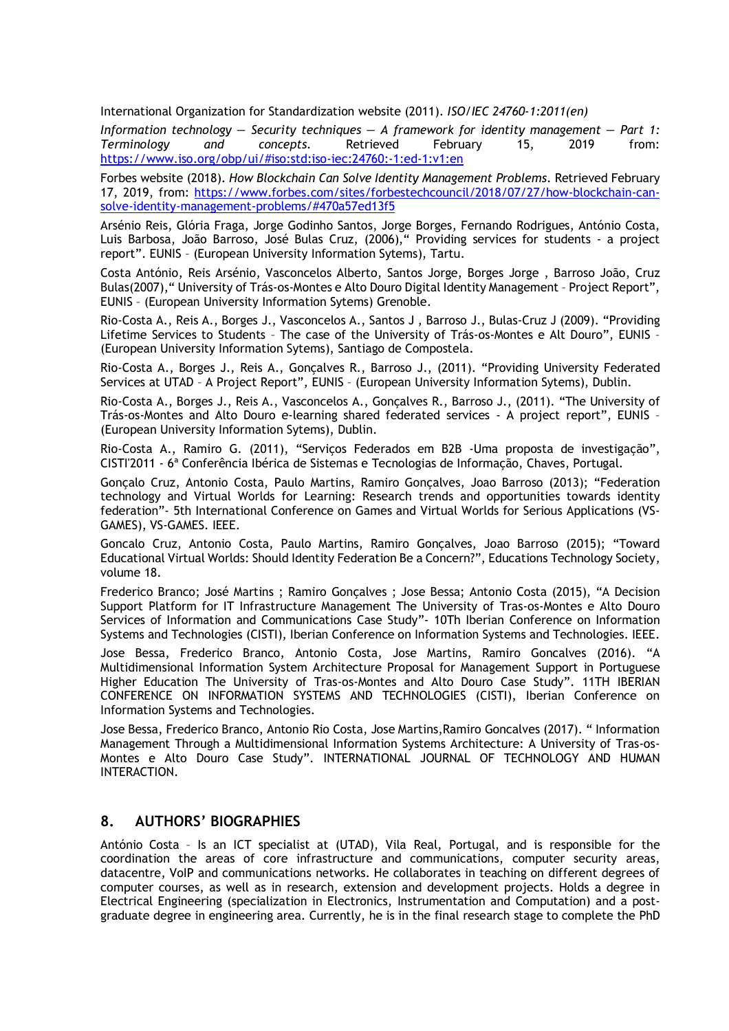International Organization for Standardization website (2011). *ISO/IEC 24760-1:2011(en)*

*Information technology — Security techniques — A framework for identity management — Part 1: Terminology and concepts.* Retrieved February 15, 2019 from: https://www.iso.org/obp/ui/#iso:std:iso-iec:24760:-1:ed-1:v1:en

Forbes website (2018). *How Blockchain Can Solve Identity Management Problems*. Retrieved February 17, 2019, from: https://www.forbes.com/sites/forbestechcouncil/2018/07/27/how-blockchain-cansolve-identity-management-problems/#470a57ed13f5

Arsénio Reis, Glória Fraga, Jorge Godinho Santos, Jorge Borges, Fernando Rodrigues, António Costa, Luis Barbosa, João Barroso, José Bulas Cruz, (2006)," Providing services for students - a project report". EUNIS – (European University Information Sytems), Tartu.

Costa António, Reis Arsénio, Vasconcelos Alberto, Santos Jorge, Borges Jorge , Barroso João, Cruz Bulas(2007)," University of Trás-os-Montes e Alto Douro Digital Identity Management – Project Report", EUNIS – (European University Information Sytems) Grenoble.

Rio-Costa A., Reis A., Borges J., Vasconcelos A., Santos J , Barroso J., Bulas-Cruz J (2009). "Providing Lifetime Services to Students – The case of the University of Trás-os-Montes e Alt Douro", EUNIS – (European University Information Sytems), Santiago de Compostela.

Rio-Costa A., Borges J., Reis A., Gonçalves R., Barroso J., (2011). "Providing University Federated Services at UTAD – A Project Report", EUNIS – (European University Information Sytems), Dublin.

Rio-Costa A., Borges J., Reis A., Vasconcelos A., Gonçalves R., Barroso J., (2011). "The University of Trás-os-Montes and Alto Douro e-learning shared federated services - A project report", EUNIS – (European University Information Sytems), Dublin.

Rio-Costa A., Ramiro G. (2011), "Serviços Federados em B2B -Uma proposta de investigação", CISTI'2011 - 6ª Conferência Ibérica de Sistemas e Tecnologias de Informação, Chaves, Portugal.

Gonçalo Cruz, Antonio Costa, Paulo Martins, Ramiro Gonçalves, Joao Barroso (2013); "Federation technology and Virtual Worlds for Learning: Research trends and opportunities towards identity federation"- 5th International Conference on Games and Virtual Worlds for Serious Applications (VS-GAMES), VS-GAMES. IEEE.

Goncalo Cruz, Antonio Costa, Paulo Martins, Ramiro Gonçalves, Joao Barroso (2015); "Toward Educational Virtual Worlds: Should Identity Federation Be a Concern?", Educations Technology Society, volume 18.

Frederico Branco; José Martins ; Ramiro Gonçalves ; Jose Bessa; Antonio Costa (2015), "A Decision Support Platform for IT Infrastructure Management The University of Tras-os-Montes e Alto Douro Services of Information and Communications Case Study"- 10Th Iberian Conference on Information Systems and Technologies (CISTI), Iberian Conference on Information Systems and Technologies. IEEE.

Jose Bessa, Frederico Branco, Antonio Costa, Jose Martins, Ramiro Goncalves (2016). "A Multidimensional Information System Architecture Proposal for Management Support in Portuguese Higher Education The University of Tras-os-Montes and Alto Douro Case Study". 11TH IBERIAN CONFERENCE ON INFORMATION SYSTEMS AND TECHNOLOGIES (CISTI), Iberian Conference on Information Systems and Technologies.

Jose Bessa, Frederico Branco, Antonio Rio Costa, Jose Martins,Ramiro Goncalves (2017). " Information Management Through a Multidimensional Information Systems Architecture: A University of Tras-os-Montes e Alto Douro Case Study". INTERNATIONAL JOURNAL OF TECHNOLOGY AND HUMAN INTERACTION.

#### **8. AUTHORS' BIOGRAPHIES**

António Costa – Is an ICT specialist at (UTAD), Vila Real, Portugal, and is responsible for the coordination the areas of core infrastructure and communications, computer security areas, datacentre, VoIP and communications networks. He collaborates in teaching on different degrees of computer courses, as well as in research, extension and development projects. Holds a degree in Electrical Engineering (specialization in Electronics, Instrumentation and Computation) and a postgraduate degree in engineering area. Currently, he is in the final research stage to complete the PhD